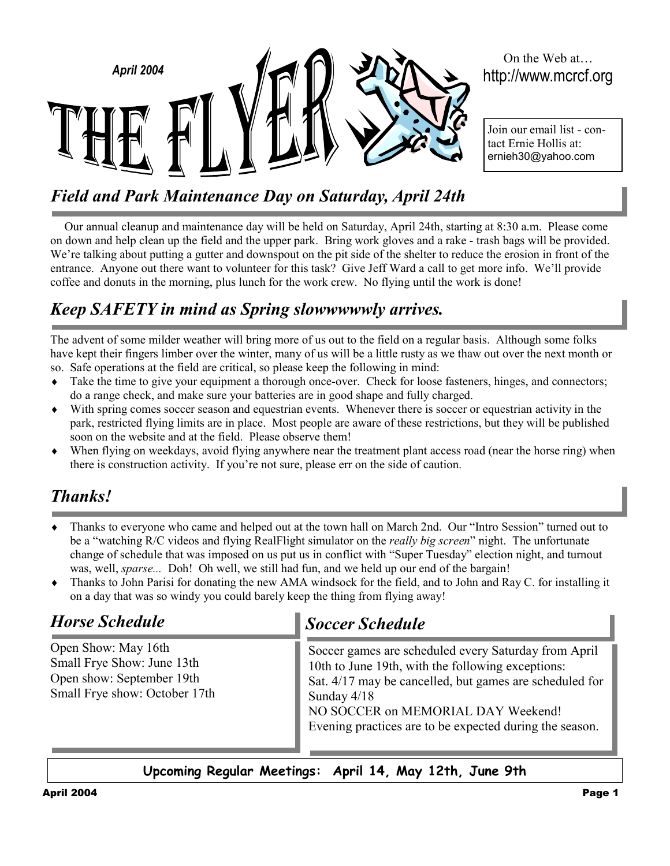

# *Field and Park Maintenance Day on Saturday, April 24th*

Our annual cleanup and maintenance day will be held on Saturday, April 24th, starting at 8:30 a.m. Please come on down and help clean up the field and the upper park. Bring work gloves and a rake - trash bags will be provided. We're talking about putting a gutter and downspout on the pit side of the shelter to reduce the erosion in front of the entrance. Anyone out there want to volunteer for this task? Give Jeff Ward a call to get more info. We'll provide coffee and donuts in the morning, plus lunch for the work crew. No flying until the work is done!

## *Keep SAFETY in mind as Spring slowwwwwly arrives.*

The advent of some milder weather will bring more of us out to the field on a regular basis. Although some folks have kept their fingers limber over the winter, many of us will be a little rusty as we thaw out over the next month or so. Safe operations at the field are critical, so please keep the following in mind:

- ♦ Take the time to give your equipment a thorough once-over. Check for loose fasteners, hinges, and connectors; do a range check, and make sure your batteries are in good shape and fully charged.
- ♦ With spring comes soccer season and equestrian events. Whenever there is soccer or equestrian activity in the park, restricted flying limits are in place. Most people are aware of these restrictions, but they will be published soon on the website and at the field. Please observe them!
- When flying on weekdays, avoid flying anywhere near the treatment plant access road (near the horse ring) when there is construction activity. If you're not sure, please err on the side of caution.

## *Thanks!*

- Thanks to everyone who came and helped out at the town hall on March 2nd. Our "Intro Session" turned out to be a "watching R/C videos and flying RealFlight simulator on the *really big screen*" night. The unfortunate change of schedule that was imposed on us put us in conflict with "Super Tuesday" election night, and turnout was, well, *sparse...* Doh! Oh well, we still had fun, and we held up our end of the bargain!
- ♦ Thanks to John Parisi for donating the new AMA windsock for the field, and to John and Ray C. for installing it on a day that was so windy you could barely keep the thing from flying away!

## *Horse Schedule*

Open Show: May 16th Small Frye Show: June 13th Open show: September 19th Small Frye show: October 17th

# *Soccer Schedule*

Soccer games are scheduled every Saturday from April 10th to June 19th, with the following exceptions: Sat. 4/17 may be cancelled, but games are scheduled for Sunday 4/18 NO SOCCER on MEMORIAL DAY Weekend! Evening practices are to be expected during the season.

**Upcoming Regular Meetings: April 14, May 12th, June 9th**